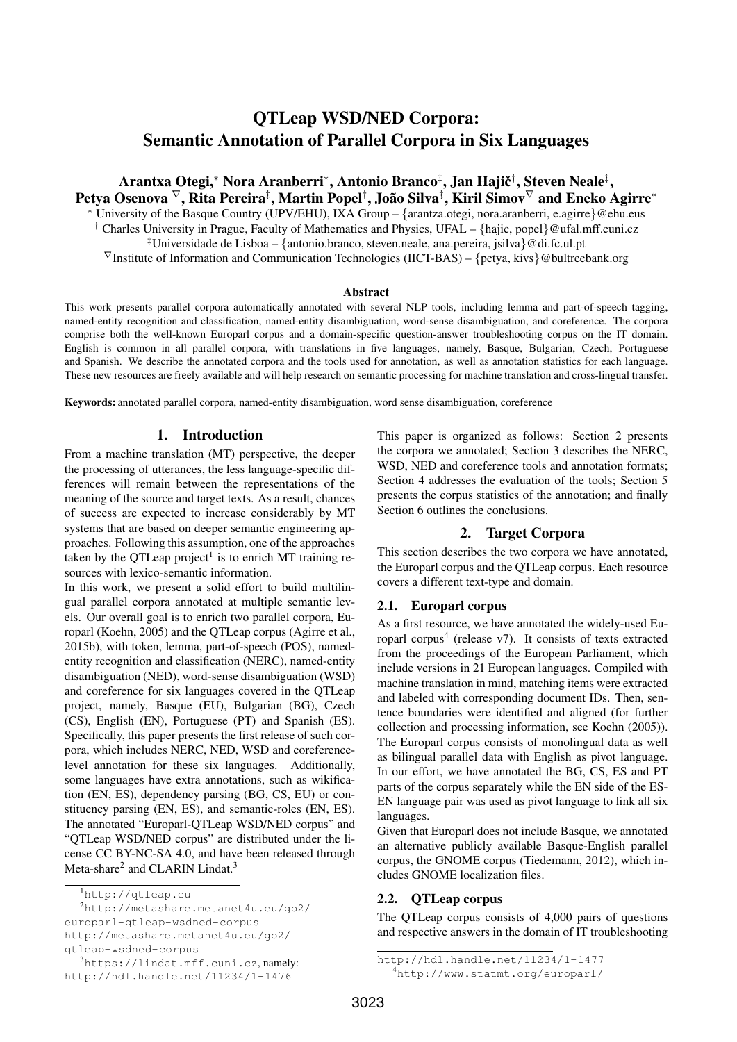# QTLeap WSD/NED Corpora: Semantic Annotation of Parallel Corpora in Six Languages

Arantxa Otegi,\* Nora Aranberri\*, Antonio Branco‡, Jan Hajič†, Steven Neale‡, Petya Osenova  ${}^{\nabla},$  Rita Pereira ${}^{\ddagger},$  Martin Popel ${}^{\dagger},$  João Silva ${}^{\ddagger},$  Kiril Simov ${}^{\nabla}$  and Eneko Agirre ${}^*$ <sup>∗</sup> University of the Basque Country (UPV/EHU), IXA Group – {arantza.otegi, nora.aranberri, e.agirre}@ehu.eus <sup>†</sup> Charles University in Prague, Faculty of Mathematics and Physics, UFAL – {hajic, popel}@ufal.mff.cuni.cz ‡Universidade de Lisboa – {antonio.branco, steven.neale, ana.pereira, jsilva}@di.fc.ul.pt  $\nabla$ Institute of Information and Communication Technologies (IICT-BAS) – {petya, kivs}@bultreebank.org

#### Abstract

This work presents parallel corpora automatically annotated with several NLP tools, including lemma and part-of-speech tagging, named-entity recognition and classification, named-entity disambiguation, word-sense disambiguation, and coreference. The corpora comprise both the well-known Europarl corpus and a domain-specific question-answer troubleshooting corpus on the IT domain. English is common in all parallel corpora, with translations in five languages, namely, Basque, Bulgarian, Czech, Portuguese and Spanish. We describe the annotated corpora and the tools used for annotation, as well as annotation statistics for each language. These new resources are freely available and will help research on semantic processing for machine translation and cross-lingual transfer.

Keywords: annotated parallel corpora, named-entity disambiguation, word sense disambiguation, coreference

### 1. Introduction

From a machine translation (MT) perspective, the deeper the processing of utterances, the less language-specific differences will remain between the representations of the meaning of the source and target texts. As a result, chances of success are expected to increase considerably by MT systems that are based on deeper semantic engineering approaches. Following this assumption, one of the approaches taken by the QTLeap project<sup>1</sup> is to enrich MT training resources with lexico-semantic information.

In this work, we present a solid effort to build multilingual parallel corpora annotated at multiple semantic levels. Our overall goal is to enrich two parallel corpora, Europarl (Koehn, 2005) and the QTLeap corpus (Agirre et al., 2015b), with token, lemma, part-of-speech (POS), namedentity recognition and classification (NERC), named-entity disambiguation (NED), word-sense disambiguation (WSD) and coreference for six languages covered in the QTLeap project, namely, Basque (EU), Bulgarian (BG), Czech (CS), English (EN), Portuguese (PT) and Spanish (ES). Specifically, this paper presents the first release of such corpora, which includes NERC, NED, WSD and coreferencelevel annotation for these six languages. Additionally, some languages have extra annotations, such as wikification (EN, ES), dependency parsing (BG, CS, EU) or constituency parsing (EN, ES), and semantic-roles (EN, ES). The annotated "Europarl-QTLeap WSD/NED corpus" and "QTLeap WSD/NED corpus" are distributed under the license CC BY-NC-SA 4.0, and have been released through Meta-share<sup>2</sup> and CLARIN Lindat.<sup>3</sup>

qtleap-wsdned-corpus

This paper is organized as follows: Section 2 presents the corpora we annotated; Section 3 describes the NERC, WSD, NED and coreference tools and annotation formats: Section 4 addresses the evaluation of the tools; Section 5 presents the corpus statistics of the annotation; and finally Section 6 outlines the conclusions.

# 2. Target Corpora

This section describes the two corpora we have annotated, the Europarl corpus and the QTLeap corpus. Each resource covers a different text-type and domain.

### 2.1. Europarl corpus

As a first resource, we have annotated the widely-used Europarl corpus<sup>4</sup> (release v7). It consists of texts extracted from the proceedings of the European Parliament, which include versions in 21 European languages. Compiled with machine translation in mind, matching items were extracted and labeled with corresponding document IDs. Then, sentence boundaries were identified and aligned (for further collection and processing information, see Koehn (2005)). The Europarl corpus consists of monolingual data as well as bilingual parallel data with English as pivot language. In our effort, we have annotated the BG, CS, ES and PT parts of the corpus separately while the EN side of the ES-EN language pair was used as pivot language to link all six languages.

Given that Europarl does not include Basque, we annotated an alternative publicly available Basque-English parallel corpus, the GNOME corpus (Tiedemann, 2012), which includes GNOME localization files.

### 2.2. QTLeap corpus

The QTLeap corpus consists of 4,000 pairs of questions and respective answers in the domain of IT troubleshooting

<sup>1</sup>http://qtleap.eu

<sup>2</sup>http://metashare.metanet4u.eu/go2/ europarl-qtleap-wsdned-corpus http://metashare.metanet4u.eu/go2/

<sup>3</sup>https://lindat.mff.cuni.cz, namely: http://hdl.handle.net/11234/1-1476

http://hdl.handle.net/11234/1-1477 <sup>4</sup>http://www.statmt.org/europarl/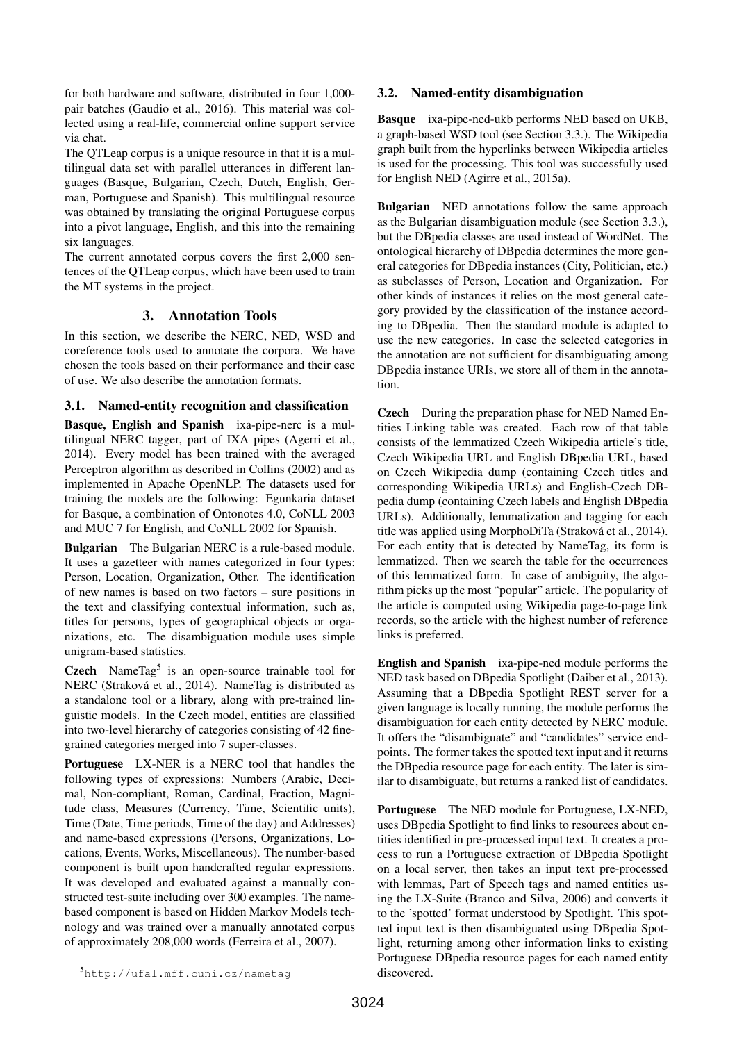for both hardware and software, distributed in four 1,000 pair batches (Gaudio et al., 2016). This material was collected using a real-life, commercial online support service via chat.

The QTLeap corpus is a unique resource in that it is a multilingual data set with parallel utterances in different languages (Basque, Bulgarian, Czech, Dutch, English, German, Portuguese and Spanish). This multilingual resource was obtained by translating the original Portuguese corpus into a pivot language, English, and this into the remaining six languages.

The current annotated corpus covers the first 2,000 sentences of the QTLeap corpus, which have been used to train the MT systems in the project.

# 3. Annotation Tools

In this section, we describe the NERC, NED, WSD and coreference tools used to annotate the corpora. We have chosen the tools based on their performance and their ease of use. We also describe the annotation formats.

# 3.1. Named-entity recognition and classification

Basque, English and Spanish ixa-pipe-nerc is a multilingual NERC tagger, part of IXA pipes (Agerri et al., 2014). Every model has been trained with the averaged Perceptron algorithm as described in Collins (2002) and as implemented in Apache OpenNLP. The datasets used for training the models are the following: Egunkaria dataset for Basque, a combination of Ontonotes 4.0, CoNLL 2003 and MUC 7 for English, and CoNLL 2002 for Spanish.

Bulgarian The Bulgarian NERC is a rule-based module. It uses a gazetteer with names categorized in four types: Person, Location, Organization, Other. The identification of new names is based on two factors – sure positions in the text and classifying contextual information, such as, titles for persons, types of geographical objects or organizations, etc. The disambiguation module uses simple unigram-based statistics.

Czech NameTag<sup>5</sup> is an open-source trainable tool for NERC (Straková et al., 2014). NameTag is distributed as a standalone tool or a library, along with pre-trained linguistic models. In the Czech model, entities are classified into two-level hierarchy of categories consisting of 42 finegrained categories merged into 7 super-classes.

Portuguese LX-NER is a NERC tool that handles the following types of expressions: Numbers (Arabic, Decimal, Non-compliant, Roman, Cardinal, Fraction, Magnitude class, Measures (Currency, Time, Scientific units), Time (Date, Time periods, Time of the day) and Addresses) and name-based expressions (Persons, Organizations, Locations, Events, Works, Miscellaneous). The number-based component is built upon handcrafted regular expressions. It was developed and evaluated against a manually constructed test-suite including over 300 examples. The namebased component is based on Hidden Markov Models technology and was trained over a manually annotated corpus of approximately 208,000 words (Ferreira et al., 2007).

# 3.2. Named-entity disambiguation

Basque ixa-pipe-ned-ukb performs NED based on UKB, a graph-based WSD tool (see Section 3.3.). The Wikipedia graph built from the hyperlinks between Wikipedia articles is used for the processing. This tool was successfully used for English NED (Agirre et al., 2015a).

**Bulgarian** NED annotations follow the same approach as the Bulgarian disambiguation module (see Section 3.3.), but the DBpedia classes are used instead of WordNet. The ontological hierarchy of DBpedia determines the more general categories for DBpedia instances (City, Politician, etc.) as subclasses of Person, Location and Organization. For other kinds of instances it relies on the most general category provided by the classification of the instance according to DBpedia. Then the standard module is adapted to use the new categories. In case the selected categories in the annotation are not sufficient for disambiguating among DBpedia instance URIs, we store all of them in the annotation.

Czech During the preparation phase for NED Named Entities Linking table was created. Each row of that table consists of the lemmatized Czech Wikipedia article's title, Czech Wikipedia URL and English DBpedia URL, based on Czech Wikipedia dump (containing Czech titles and corresponding Wikipedia URLs) and English-Czech DBpedia dump (containing Czech labels and English DBpedia URLs). Additionally, lemmatization and tagging for each title was applied using MorphoDiTa (Straková et al., 2014). For each entity that is detected by NameTag, its form is lemmatized. Then we search the table for the occurrences of this lemmatized form. In case of ambiguity, the algorithm picks up the most "popular" article. The popularity of the article is computed using Wikipedia page-to-page link records, so the article with the highest number of reference links is preferred.

English and Spanish ixa-pipe-ned module performs the NED task based on DBpedia Spotlight (Daiber et al., 2013). Assuming that a DBpedia Spotlight REST server for a given language is locally running, the module performs the disambiguation for each entity detected by NERC module. It offers the "disambiguate" and "candidates" service endpoints. The former takes the spotted text input and it returns the DBpedia resource page for each entity. The later is similar to disambiguate, but returns a ranked list of candidates.

Portuguese The NED module for Portuguese, LX-NED, uses DBpedia Spotlight to find links to resources about entities identified in pre-processed input text. It creates a process to run a Portuguese extraction of DBpedia Spotlight on a local server, then takes an input text pre-processed with lemmas, Part of Speech tags and named entities using the LX-Suite (Branco and Silva, 2006) and converts it to the 'spotted' format understood by Spotlight. This spotted input text is then disambiguated using DBpedia Spotlight, returning among other information links to existing Portuguese DBpedia resource pages for each named entity discovered.

<sup>5</sup>http://ufal.mff.cuni.cz/nametag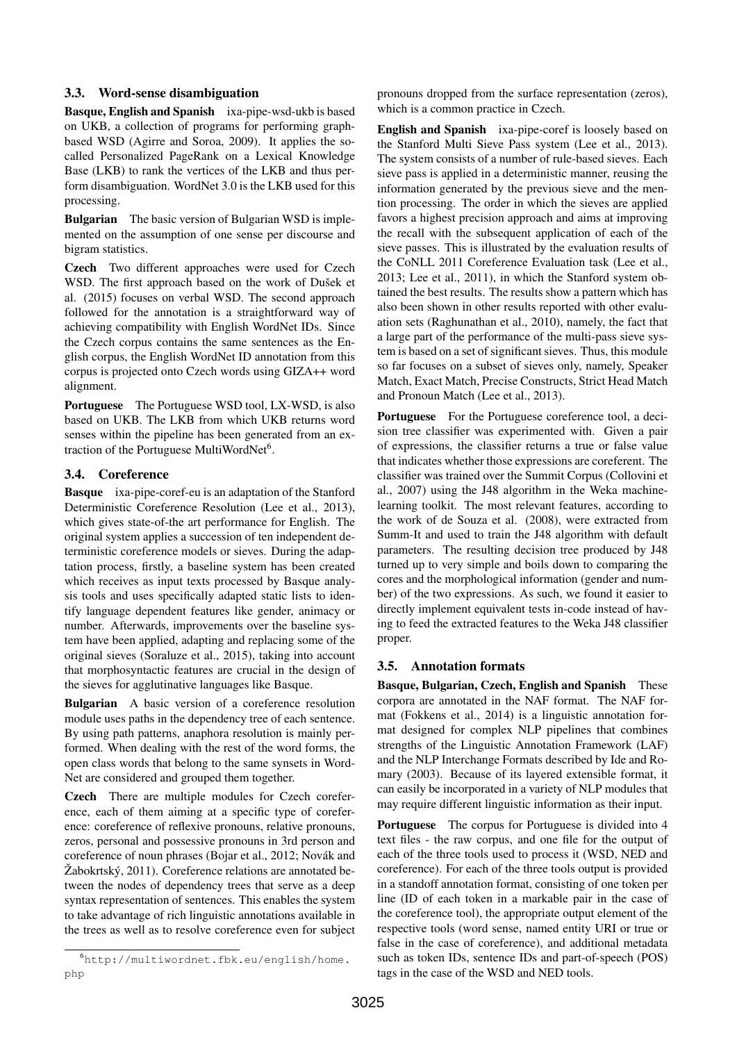# 3.3. Word-sense disambiguation

Basque, English and Spanish ixa-pipe-wsd-ukb is based on UKB, a collection of programs for performing graphbased WSD (Agirre and Soroa, 2009). It applies the socalled Personalized PageRank on a Lexical Knowledge Base (LKB) to rank the vertices of the LKB and thus perform disambiguation. WordNet 3.0 is the LKB used for this processing.

Bulgarian The basic version of Bulgarian WSD is implemented on the assumption of one sense per discourse and bigram statistics.

Czech Two different approaches were used for Czech WSD. The first approach based on the work of Dušek et al. (2015) focuses on verbal WSD. The second approach followed for the annotation is a straightforward way of achieving compatibility with English WordNet IDs. Since the Czech corpus contains the same sentences as the English corpus, the English WordNet ID annotation from this corpus is projected onto Czech words using GIZA++ word alignment.

Portuguese The Portuguese WSD tool, LX-WSD, is also based on UKB. The LKB from which UKB returns word senses within the pipeline has been generated from an extraction of the Portuguese MultiWordNet<sup>6</sup>.

# 3.4. Coreference

Basque ixa-pipe-coref-eu is an adaptation of the Stanford Deterministic Coreference Resolution (Lee et al., 2013), which gives state-of-the art performance for English. The original system applies a succession of ten independent deterministic coreference models or sieves. During the adaptation process, firstly, a baseline system has been created which receives as input texts processed by Basque analysis tools and uses specifically adapted static lists to identify language dependent features like gender, animacy or number. Afterwards, improvements over the baseline system have been applied, adapting and replacing some of the original sieves (Soraluze et al., 2015), taking into account that morphosyntactic features are crucial in the design of the sieves for agglutinative languages like Basque.

Bulgarian A basic version of a coreference resolution module uses paths in the dependency tree of each sentence. By using path patterns, anaphora resolution is mainly performed. When dealing with the rest of the word forms, the open class words that belong to the same synsets in Word-Net are considered and grouped them together.

Czech There are multiple modules for Czech coreference, each of them aiming at a specific type of coreference: coreference of reflexive pronouns, relative pronouns, zeros, personal and possessive pronouns in 3rd person and coreference of noun phrases (Bojar et al., 2012; Novák and Žabokrtský, 2011). Coreference relations are annotated between the nodes of dependency trees that serve as a deep syntax representation of sentences. This enables the system to take advantage of rich linguistic annotations available in the trees as well as to resolve coreference even for subject pronouns dropped from the surface representation (zeros), which is a common practice in Czech.

English and Spanish ixa-pipe-coref is loosely based on the Stanford Multi Sieve Pass system (Lee et al., 2013). The system consists of a number of rule-based sieves. Each sieve pass is applied in a deterministic manner, reusing the information generated by the previous sieve and the mention processing. The order in which the sieves are applied favors a highest precision approach and aims at improving the recall with the subsequent application of each of the sieve passes. This is illustrated by the evaluation results of the CoNLL 2011 Coreference Evaluation task (Lee et al., 2013; Lee et al., 2011), in which the Stanford system obtained the best results. The results show a pattern which has also been shown in other results reported with other evaluation sets (Raghunathan et al., 2010), namely, the fact that a large part of the performance of the multi-pass sieve system is based on a set of significant sieves. Thus, this module so far focuses on a subset of sieves only, namely, Speaker Match, Exact Match, Precise Constructs, Strict Head Match and Pronoun Match (Lee et al., 2013).

Portuguese For the Portuguese coreference tool, a decision tree classifier was experimented with. Given a pair of expressions, the classifier returns a true or false value that indicates whether those expressions are coreferent. The classifier was trained over the Summit Corpus (Collovini et al., 2007) using the J48 algorithm in the Weka machinelearning toolkit. The most relevant features, according to the work of de Souza et al. (2008), were extracted from Summ-It and used to train the J48 algorithm with default parameters. The resulting decision tree produced by J48 turned up to very simple and boils down to comparing the cores and the morphological information (gender and number) of the two expressions. As such, we found it easier to directly implement equivalent tests in-code instead of having to feed the extracted features to the Weka J48 classifier proper.

# 3.5. Annotation formats

Basque, Bulgarian, Czech, English and Spanish These corpora are annotated in the NAF format. The NAF format (Fokkens et al., 2014) is a linguistic annotation format designed for complex NLP pipelines that combines strengths of the Linguistic Annotation Framework (LAF) and the NLP Interchange Formats described by Ide and Romary (2003). Because of its layered extensible format, it can easily be incorporated in a variety of NLP modules that may require different linguistic information as their input.

Portuguese The corpus for Portuguese is divided into 4 text files - the raw corpus, and one file for the output of each of the three tools used to process it (WSD, NED and coreference). For each of the three tools output is provided in a standoff annotation format, consisting of one token per line (ID of each token in a markable pair in the case of the coreference tool), the appropriate output element of the respective tools (word sense, named entity URI or true or false in the case of coreference), and additional metadata such as token IDs, sentence IDs and part-of-speech (POS) tags in the case of the WSD and NED tools.

<sup>6</sup>http://multiwordnet.fbk.eu/english/home. php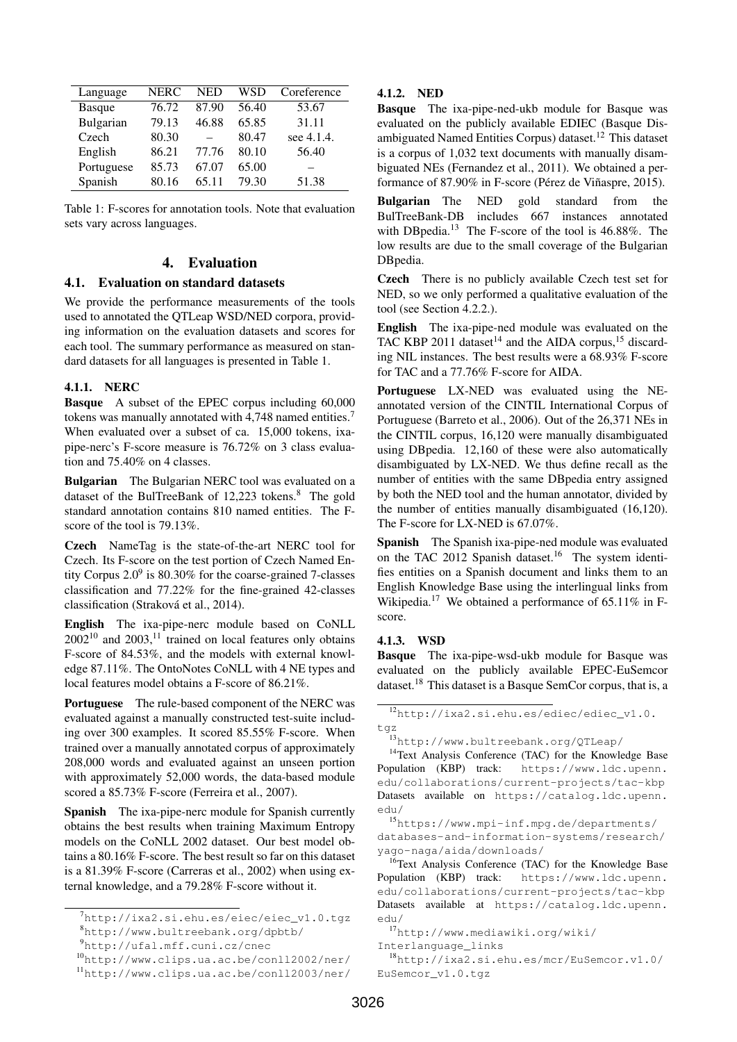| Language   | <b>NERC</b> | <b>NED</b> | WSD   | Coreference |
|------------|-------------|------------|-------|-------------|
| Basque     | 76.72       | 87.90      | 56.40 | 53.67       |
| Bulgarian  | 79.13       | 46.88      | 65.85 | 31.11       |
| Czech      | 80.30       |            | 80.47 | see 4.1.4.  |
| English    | 86.21       | 77.76      | 80.10 | 56.40       |
| Portuguese | 85.73       | 67.07      | 65.00 |             |
| Spanish    | 80.16       | 65.11      | 79.30 | 51.38       |

Table 1: F-scores for annotation tools. Note that evaluation sets vary across languages.

# 4. Evaluation

### 4.1. Evaluation on standard datasets

We provide the performance measurements of the tools used to annotated the QTLeap WSD/NED corpora, providing information on the evaluation datasets and scores for each tool. The summary performance as measured on standard datasets for all languages is presented in Table 1.

#### 4.1.1. NERC

Basque A subset of the EPEC corpus including 60,000 tokens was manually annotated with 4,748 named entities.<sup>7</sup> When evaluated over a subset of ca. 15,000 tokens, ixapipe-nerc's F-score measure is 76.72% on 3 class evaluation and 75.40% on 4 classes.

Bulgarian The Bulgarian NERC tool was evaluated on a dataset of the BulTreeBank of 12,223 tokens.<sup>8</sup> The gold standard annotation contains 810 named entities. The Fscore of the tool is 79.13%.

Czech NameTag is the state-of-the-art NERC tool for Czech. Its F-score on the test portion of Czech Named Entity Corpus  $2.0^9$  is 80.30% for the coarse-grained 7-classes classification and 77.22% for the fine-grained 42-classes classification (Straková et al., 2014).

English The ixa-pipe-nerc module based on CoNLL  $2002^{10}$  and  $2003$ , <sup>11</sup> trained on local features only obtains F-score of 84.53%, and the models with external knowledge 87.11%. The OntoNotes CoNLL with 4 NE types and local features model obtains a F-score of 86.21%.

Portuguese The rule-based component of the NERC was evaluated against a manually constructed test-suite including over 300 examples. It scored 85.55% F-score. When trained over a manually annotated corpus of approximately 208,000 words and evaluated against an unseen portion with approximately 52,000 words, the data-based module scored a 85.73% F-score (Ferreira et al., 2007).

Spanish The ixa-pipe-nerc module for Spanish currently obtains the best results when training Maximum Entropy models on the CoNLL 2002 dataset. Our best model obtains a 80.16% F-score. The best result so far on this dataset is a 81.39% F-score (Carreras et al., 2002) when using external knowledge, and a 79.28% F-score without it.

### 4.1.2. NED

Basque The ixa-pipe-ned-ukb module for Basque was evaluated on the publicly available EDIEC (Basque Disambiguated Named Entities Corpus) dataset.<sup>12</sup> This dataset is a corpus of 1,032 text documents with manually disambiguated NEs (Fernandez et al., 2011). We obtained a performance of 87.90% in F-score (Pérez de Viñaspre, 2015).

Bulgarian The NED gold standard from the BulTreeBank-DB includes 667 instances annotated with DBpedia.<sup>13</sup> The F-score of the tool is 46.88%. The low results are due to the small coverage of the Bulgarian DBpedia.

Czech There is no publicly available Czech test set for NED, so we only performed a qualitative evaluation of the tool (see Section 4.2.2.).

English The ixa-pipe-ned module was evaluated on the TAC KBP 2011 dataset<sup>14</sup> and the AIDA corpus,<sup>15</sup> discarding NIL instances. The best results were a 68.93% F-score for TAC and a 77.76% F-score for AIDA.

Portuguese LX-NED was evaluated using the NEannotated version of the CINTIL International Corpus of Portuguese (Barreto et al., 2006). Out of the 26,371 NEs in the CINTIL corpus, 16,120 were manually disambiguated using DBpedia. 12,160 of these were also automatically disambiguated by LX-NED. We thus define recall as the number of entities with the same DBpedia entry assigned by both the NED tool and the human annotator, divided by the number of entities manually disambiguated (16,120). The F-score for LX-NED is 67.07%.

Spanish The Spanish ixa-pipe-ned module was evaluated on the TAC 2012 Spanish dataset.<sup>16</sup> The system identifies entities on a Spanish document and links them to an English Knowledge Base using the interlingual links from Wikipedia.<sup>17</sup> We obtained a performance of 65.11% in Fscore.

#### 4.1.3. WSD

Basque The ixa-pipe-wsd-ukb module for Basque was evaluated on the publicly available EPEC-EuSemcor dataset.<sup>18</sup> This dataset is a Basque SemCor corpus, that is, a

<sup>14</sup>Text Analysis Conference (TAC) for the Knowledge Base Population (KBP) track: https://www.ldc.upenn. edu/collaborations/current-projects/tac-kbp Datasets available on https://catalog.ldc.upenn. edu/

<sup>16</sup>Text Analysis Conference (TAC) for the Knowledge Base Population (KBP) track: https://www.ldc.upenn. edu/collaborations/current-projects/tac-kbp Datasets available at https://catalog.ldc.upenn. edu/

Interlanguage\_links

 $^{7}$ http://ixa2.si.ehu.es/eiec/eiec\_v1.0.tgz <sup>8</sup>http://www.bultreebank.org/dpbtb/

<sup>9</sup>http://ufal.mff.cuni.cz/cnec

<sup>10</sup>http://www.clips.ua.ac.be/conll2002/ner/

<sup>11</sup>http://www.clips.ua.ac.be/conll2003/ner/

<sup>12</sup>http://ixa2.si.ehu.es/ediec/ediec\_v1.0. tgz

<sup>13</sup>http://www.bultreebank.org/QTLeap/

<sup>15</sup>https://www.mpi-inf.mpg.de/departments/ databases-and-information-systems/research/ yago-naga/aida/downloads/

<sup>17</sup>http://www.mediawiki.org/wiki/

<sup>18</sup>http://ixa2.si.ehu.es/mcr/EuSemcor.v1.0/ EuSemcor\_v1.0.tgz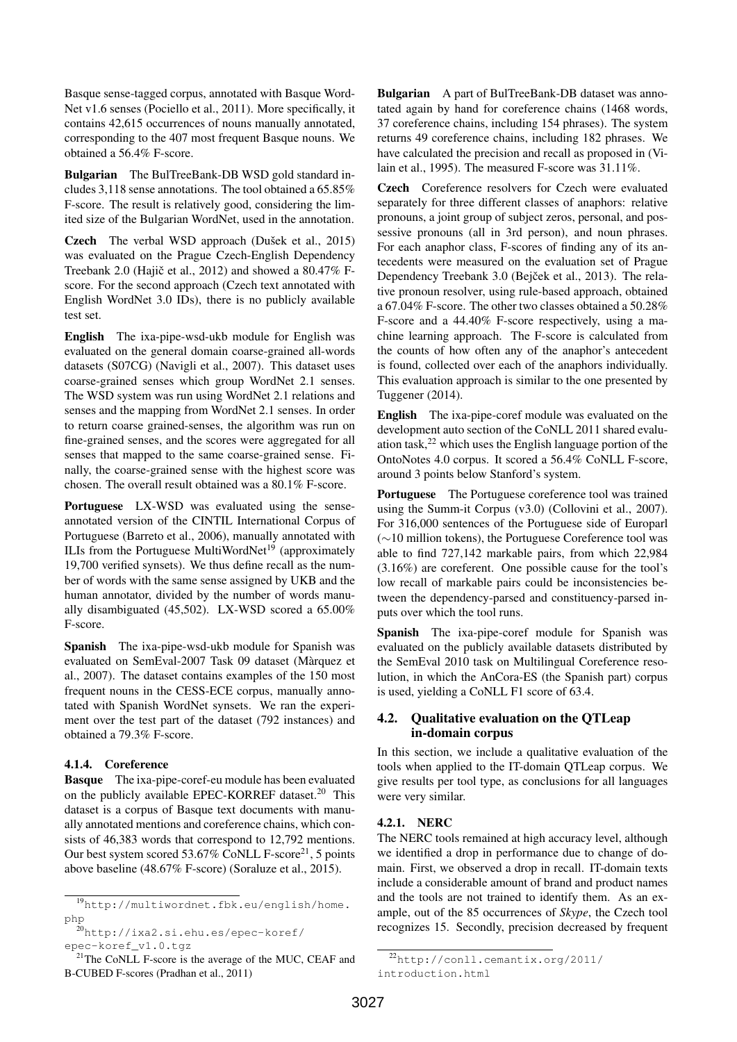Basque sense-tagged corpus, annotated with Basque Word-Net v1.6 senses (Pociello et al., 2011). More specifically, it contains 42,615 occurrences of nouns manually annotated, corresponding to the 407 most frequent Basque nouns. We obtained a 56.4% F-score.

Bulgarian The BulTreeBank-DB WSD gold standard includes 3,118 sense annotations. The tool obtained a 65.85% F-score. The result is relatively good, considering the limited size of the Bulgarian WordNet, used in the annotation.

Czech The verbal WSD approach (Dušek et al., 2015) was evaluated on the Prague Czech-English Dependency Treebank 2.0 (Hajič et al., 2012) and showed a  $80.47\%$  Fscore. For the second approach (Czech text annotated with English WordNet 3.0 IDs), there is no publicly available test set.

English The ixa-pipe-wsd-ukb module for English was evaluated on the general domain coarse-grained all-words datasets (S07CG) (Navigli et al., 2007). This dataset uses coarse-grained senses which group WordNet 2.1 senses. The WSD system was run using WordNet 2.1 relations and senses and the mapping from WordNet 2.1 senses. In order to return coarse grained-senses, the algorithm was run on fine-grained senses, and the scores were aggregated for all senses that mapped to the same coarse-grained sense. Finally, the coarse-grained sense with the highest score was chosen. The overall result obtained was a 80.1% F-score.

Portuguese LX-WSD was evaluated using the senseannotated version of the CINTIL International Corpus of Portuguese (Barreto et al., 2006), manually annotated with ILIs from the Portuguese MultiWordNet<sup>19</sup> (approximately 19,700 verified synsets). We thus define recall as the number of words with the same sense assigned by UKB and the human annotator, divided by the number of words manually disambiguated (45,502). LX-WSD scored a 65.00% F-score.

Spanish The ixa-pipe-wsd-ukb module for Spanish was evaluated on SemEval-2007 Task 09 dataset (Marquez et ` al., 2007). The dataset contains examples of the 150 most frequent nouns in the CESS-ECE corpus, manually annotated with Spanish WordNet synsets. We ran the experiment over the test part of the dataset (792 instances) and obtained a 79.3% F-score.

### 4.1.4. Coreference

Basque The ixa-pipe-coref-eu module has been evaluated on the publicly available EPEC-KORREF dataset.<sup>20</sup> This dataset is a corpus of Basque text documents with manually annotated mentions and coreference chains, which consists of 46,383 words that correspond to 12,792 mentions. Our best system scored  $53.67\%$  CoNLL F-score<sup>21</sup>, 5 points above baseline (48.67% F-score) (Soraluze et al., 2015).

Bulgarian A part of BulTreeBank-DB dataset was annotated again by hand for coreference chains (1468 words, 37 coreference chains, including 154 phrases). The system returns 49 coreference chains, including 182 phrases. We have calculated the precision and recall as proposed in (Vilain et al., 1995). The measured F-score was 31.11%.

Czech Coreference resolvers for Czech were evaluated separately for three different classes of anaphors: relative pronouns, a joint group of subject zeros, personal, and possessive pronouns (all in 3rd person), and noun phrases. For each anaphor class, F-scores of finding any of its antecedents were measured on the evaluation set of Prague Dependency Treebank 3.0 (Bejček et al., 2013). The relative pronoun resolver, using rule-based approach, obtained a 67.04% F-score. The other two classes obtained a 50.28% F-score and a 44.40% F-score respectively, using a machine learning approach. The F-score is calculated from the counts of how often any of the anaphor's antecedent is found, collected over each of the anaphors individually. This evaluation approach is similar to the one presented by Tuggener (2014).

English The ixa-pipe-coref module was evaluated on the development auto section of the CoNLL 2011 shared evaluation task, $^{22}$  which uses the English language portion of the OntoNotes 4.0 corpus. It scored a 56.4% CoNLL F-score, around 3 points below Stanford's system.

Portuguese The Portuguese coreference tool was trained using the Summ-it Corpus (v3.0) (Collovini et al., 2007). For 316,000 sentences of the Portuguese side of Europarl (∼10 million tokens), the Portuguese Coreference tool was able to find 727,142 markable pairs, from which 22,984 (3.16%) are coreferent. One possible cause for the tool's low recall of markable pairs could be inconsistencies between the dependency-parsed and constituency-parsed inputs over which the tool runs.

Spanish The ixa-pipe-coref module for Spanish was evaluated on the publicly available datasets distributed by the SemEval 2010 task on Multilingual Coreference resolution, in which the AnCora-ES (the Spanish part) corpus is used, yielding a CoNLL F1 score of 63.4.

### 4.2. Qualitative evaluation on the QTLeap in-domain corpus

In this section, we include a qualitative evaluation of the tools when applied to the IT-domain QTLeap corpus. We give results per tool type, as conclusions for all languages were very similar.

### 4.2.1. NERC

The NERC tools remained at high accuracy level, although we identified a drop in performance due to change of domain. First, we observed a drop in recall. IT-domain texts include a considerable amount of brand and product names and the tools are not trained to identify them. As an example, out of the 85 occurrences of *Skype*, the Czech tool recognizes 15. Secondly, precision decreased by frequent

<sup>19</sup>http://multiwordnet.fbk.eu/english/home. php

 $^{20}$ http://ixa2.si.ehu.es/epec-koref/ epec-koref\_v1.0.tgz

 $21$ The CoNLL F-score is the average of the MUC, CEAF and B-CUBED F-scores (Pradhan et al., 2011)

<sup>22</sup>http://conll.cemantix.org/2011/ introduction.html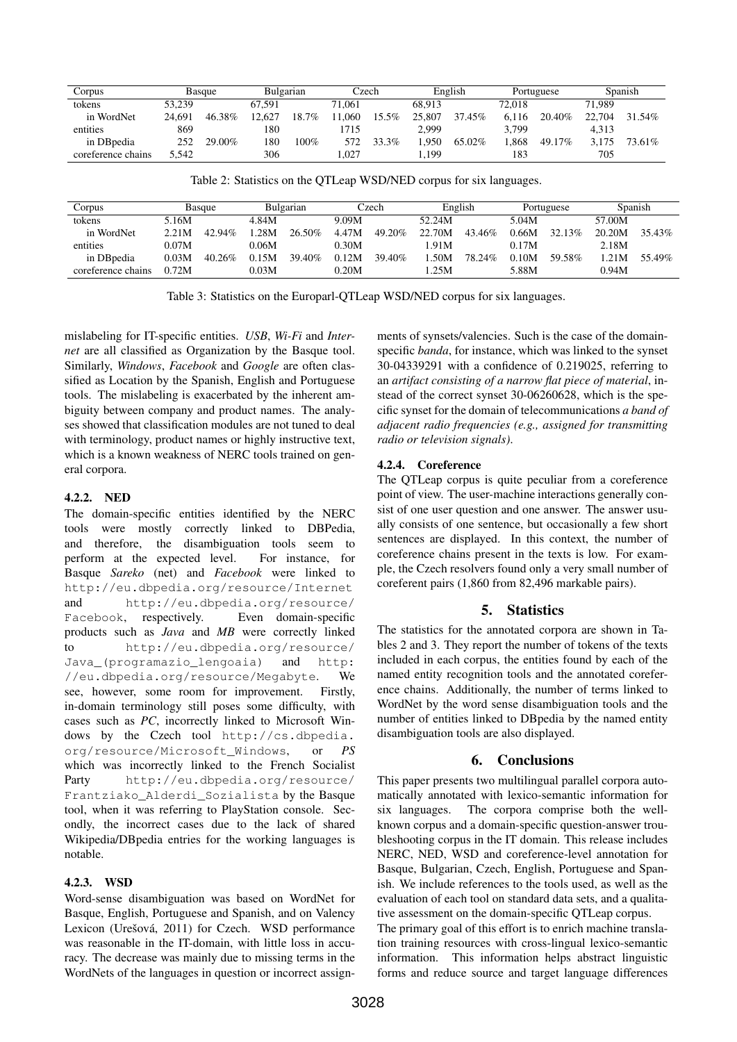| Corpus             | Basque |        | Bulgarian |       | Czech  |       | English |        | Portuguese |        | Spanish |        |
|--------------------|--------|--------|-----------|-------|--------|-------|---------|--------|------------|--------|---------|--------|
| tokens             | 53.239 |        | 67.591    |       | 71.061 |       | 68.913  |        | 72.018     |        | 71.989  |        |
| in WordNet         | 24.691 | 46.38% | 12.627    | 18.7% | .060   | 15.5% | 25,807  | 37.45% | 6.116      | 20.40% | 22,704  | 31.54% |
| entities           | 869    |        | 180       |       | 715    |       | 2.999   |        | 3.799      |        | 4.313   |        |
| in DB pedia        | 252    | 29.00% | 180       | 100%  | 572    | 33.3% | .950    | 65.02% | .868       | 49.17% | 3.175   | 73.61% |
| coreference chains | 5.542  |        | 306       |       | .027   |       | . 199   |        | 183        |        | 705     |        |

Table 2: Statistics on the QTLeap WSD/NED corpus for six languages.

| Corpus             | Basque |           | Bulgarian |        | Czech |        | English |        | Portuguese |        | Spanish |        |
|--------------------|--------|-----------|-----------|--------|-------|--------|---------|--------|------------|--------|---------|--------|
| tokens             | 5.16M  |           | 4.84M     |        | 9.09M |        | 52.24M  |        | 5.04M      |        | 57.00M  |        |
| in WordNet         | 2.21M  | $42.94\%$ | .28M      | 26.50% | 4.47M | 49.20% | 22.70M  | 43.46% | 0.66M      | 32.13% | 20.20M  | 35.43% |
| entities           | 0.07M  |           | 0.06M     |        | 0.30M |        | 1.91M   |        | 0.17M      |        | 2.18M   |        |
| in DB pedia        | 0.03M  | 40.26%    | 0.15M     | 39.40% | 0.12M | 39.40% | .50M    | 78.24% | 0.10M      | 59.58% | $-21M$  | 55.49% |
| coreference chains | 0.72M  |           | 0.03M     |        | 0.20M |        | 1.25M   |        | 5.88M      |        | 0.94M   |        |

Table 3: Statistics on the Europarl-QTLeap WSD/NED corpus for six languages.

mislabeling for IT-specific entities. *USB*, *Wi-Fi* and *Internet* are all classified as Organization by the Basque tool. Similarly, *Windows*, *Facebook* and *Google* are often classified as Location by the Spanish, English and Portuguese tools. The mislabeling is exacerbated by the inherent ambiguity between company and product names. The analyses showed that classification modules are not tuned to deal with terminology, product names or highly instructive text, which is a known weakness of NERC tools trained on general corpora.

### 4.2.2. NED

The domain-specific entities identified by the NERC tools were mostly correctly linked to DBPedia, and therefore, the disambiguation tools seem to perform at the expected level. For instance, for Basque *Sareko* (net) and *Facebook* were linked to http://eu.dbpedia.org/resource/Internet and http://eu.dbpedia.org/resource/ Facebook, respectively. Even domain-specific products such as *Java* and *MB* were correctly linked to http://eu.dbpedia.org/resource/ Java\_(programazio\_lengoaia) and http: //eu.dbpedia.org/resource/Megabyte. We see, however, some room for improvement. Firstly, in-domain terminology still poses some difficulty, with cases such as *PC*, incorrectly linked to Microsoft Windows by the Czech tool http://cs.dbpedia. org/resource/Microsoft\_Windows, or *PS* which was incorrectly linked to the French Socialist Party http://eu.dbpedia.org/resource/ Frantziako\_Alderdi\_Sozialista by the Basque tool, when it was referring to PlayStation console. Secondly, the incorrect cases due to the lack of shared Wikipedia/DBpedia entries for the working languages is notable.

### 4.2.3. WSD

Word-sense disambiguation was based on WordNet for Basque, English, Portuguese and Spanish, and on Valency Lexicon (Urešová, 2011) for Czech. WSD performance was reasonable in the IT-domain, with little loss in accuracy. The decrease was mainly due to missing terms in the WordNets of the languages in question or incorrect assignments of synsets/valencies. Such is the case of the domainspecific *banda*, for instance, which was linked to the synset 30-04339291 with a confidence of 0.219025, referring to an *artifact consisting of a narrow flat piece of material*, instead of the correct synset 30-06260628, which is the specific synset for the domain of telecommunications *a band of adjacent radio frequencies (e.g., assigned for transmitting radio or television signals)*.

# 4.2.4. Coreference

The QTLeap corpus is quite peculiar from a coreference point of view. The user-machine interactions generally consist of one user question and one answer. The answer usually consists of one sentence, but occasionally a few short sentences are displayed. In this context, the number of coreference chains present in the texts is low. For example, the Czech resolvers found only a very small number of coreferent pairs (1,860 from 82,496 markable pairs).

# 5. Statistics

The statistics for the annotated corpora are shown in Tables 2 and 3. They report the number of tokens of the texts included in each corpus, the entities found by each of the named entity recognition tools and the annotated coreference chains. Additionally, the number of terms linked to WordNet by the word sense disambiguation tools and the number of entities linked to DBpedia by the named entity disambiguation tools are also displayed.

# 6. Conclusions

This paper presents two multilingual parallel corpora automatically annotated with lexico-semantic information for six languages. The corpora comprise both the wellknown corpus and a domain-specific question-answer troubleshooting corpus in the IT domain. This release includes NERC, NED, WSD and coreference-level annotation for Basque, Bulgarian, Czech, English, Portuguese and Spanish. We include references to the tools used, as well as the evaluation of each tool on standard data sets, and a qualitative assessment on the domain-specific QTLeap corpus. The primary goal of this effort is to enrich machine translation training resources with cross-lingual lexico-semantic information. This information helps abstract linguistic forms and reduce source and target language differences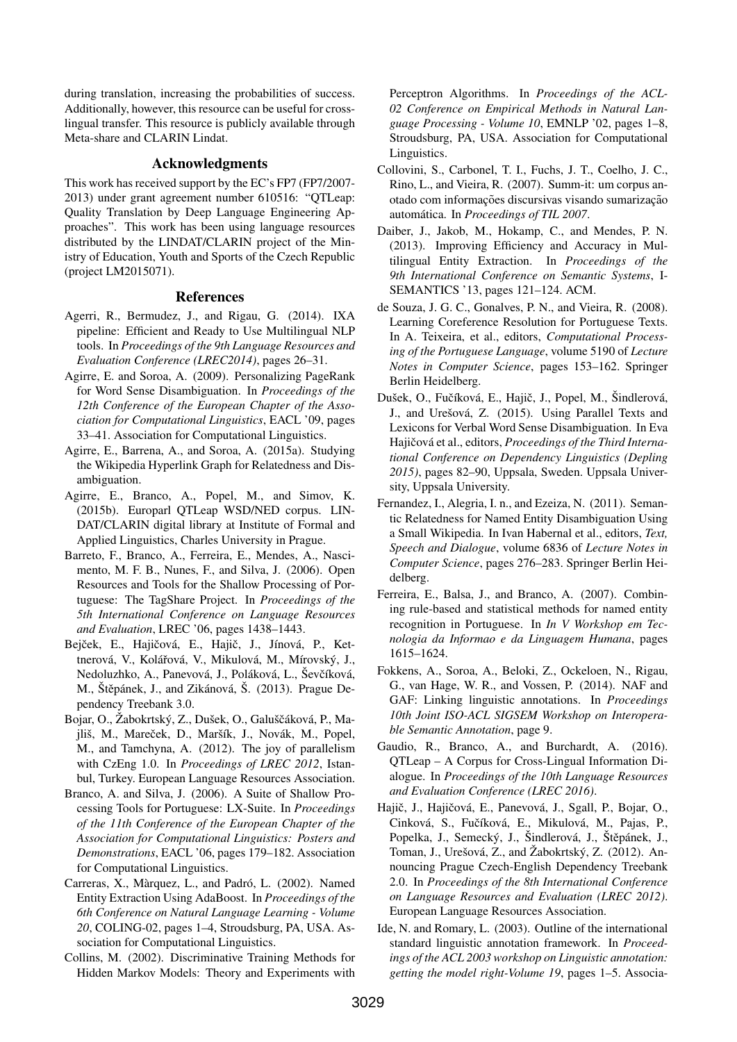during translation, increasing the probabilities of success. Additionally, however, this resource can be useful for crosslingual transfer. This resource is publicly available through Meta-share and CLARIN Lindat.

### Acknowledgments

This work has received support by the EC's FP7 (FP7/2007- 2013) under grant agreement number 610516: "QTLeap: Quality Translation by Deep Language Engineering Approaches". This work has been using language resources distributed by the LINDAT/CLARIN project of the Ministry of Education, Youth and Sports of the Czech Republic (project LM2015071).

#### References

- Agerri, R., Bermudez, J., and Rigau, G. (2014). IXA pipeline: Efficient and Ready to Use Multilingual NLP tools. In *Proceedings of the 9th Language Resources and Evaluation Conference (LREC2014)*, pages 26–31.
- Agirre, E. and Soroa, A. (2009). Personalizing PageRank for Word Sense Disambiguation. In *Proceedings of the 12th Conference of the European Chapter of the Association for Computational Linguistics*, EACL '09, pages 33–41. Association for Computational Linguistics.
- Agirre, E., Barrena, A., and Soroa, A. (2015a). Studying the Wikipedia Hyperlink Graph for Relatedness and Disambiguation.
- Agirre, E., Branco, A., Popel, M., and Simov, K. (2015b). Europarl QTLeap WSD/NED corpus. LIN-DAT/CLARIN digital library at Institute of Formal and Applied Linguistics, Charles University in Prague.
- Barreto, F., Branco, A., Ferreira, E., Mendes, A., Nascimento, M. F. B., Nunes, F., and Silva, J. (2006). Open Resources and Tools for the Shallow Processing of Portuguese: The TagShare Project. In *Proceedings of the 5th International Conference on Language Resources and Evaluation*, LREC '06, pages 1438–1443.
- Bejček, E., Hajičová, E., Hajič, J., Jínová, P., Kettnerová, V., Kolářová, V., Mikulová, M., Mírovský, J., Nedoluzhko, A., Panevová, J., Poláková, L., Ševčíková, M., Štěpánek, J., and Zikánová, Š. (2013). Prague Dependency Treebank 3.0.
- Bojar, O., Žabokrtský, Z., Dušek, O., Galuščáková, P., Majliš, M., Mareček, D., Maršík, J., Novák, M., Popel, M., and Tamchyna, A. (2012). The joy of parallelism with CzEng 1.0. In *Proceedings of LREC 2012*, Istanbul, Turkey. European Language Resources Association.
- Branco, A. and Silva, J. (2006). A Suite of Shallow Processing Tools for Portuguese: LX-Suite. In *Proceedings of the 11th Conference of the European Chapter of the Association for Computational Linguistics: Posters and Demonstrations*, EACL '06, pages 179–182. Association for Computational Linguistics.
- Carreras, X., Màrquez, L., and Padró, L. (2002). Named Entity Extraction Using AdaBoost. In *Proceedings of the 6th Conference on Natural Language Learning - Volume 20*, COLING-02, pages 1–4, Stroudsburg, PA, USA. Association for Computational Linguistics.
- Collins, M. (2002). Discriminative Training Methods for Hidden Markov Models: Theory and Experiments with

Perceptron Algorithms. In *Proceedings of the ACL-02 Conference on Empirical Methods in Natural Language Processing - Volume 10*, EMNLP '02, pages 1–8, Stroudsburg, PA, USA. Association for Computational Linguistics.

- Collovini, S., Carbonel, T. I., Fuchs, J. T., Coelho, J. C., Rino, L., and Vieira, R. (2007). Summ-it: um corpus anotado com informações discursivas visando sumarização automática. In *Proceedings of TIL 2007*.
- Daiber, J., Jakob, M., Hokamp, C., and Mendes, P. N. (2013). Improving Efficiency and Accuracy in Multilingual Entity Extraction. In *Proceedings of the 9th International Conference on Semantic Systems*, I-SEMANTICS '13, pages 121–124. ACM.
- de Souza, J. G. C., Gonalves, P. N., and Vieira, R. (2008). Learning Coreference Resolution for Portuguese Texts. In A. Teixeira, et al., editors, *Computational Processing of the Portuguese Language*, volume 5190 of *Lecture Notes in Computer Science*, pages 153–162. Springer Berlin Heidelberg.
- Dušek, O., Fučíková, E., Hajič, J., Popel, M., Šindlerová, J., and Urešová, Z. (2015). Using Parallel Texts and Lexicons for Verbal Word Sense Disambiguation. In Eva Hajičová et al., editors, Proceedings of the Third Interna*tional Conference on Dependency Linguistics (Depling 2015)*, pages 82–90, Uppsala, Sweden. Uppsala University, Uppsala University.
- Fernandez, I., Alegria, I. n., and Ezeiza, N. (2011). Semantic Relatedness for Named Entity Disambiguation Using a Small Wikipedia. In Ivan Habernal et al., editors, *Text, Speech and Dialogue*, volume 6836 of *Lecture Notes in Computer Science*, pages 276–283. Springer Berlin Heidelberg.
- Ferreira, E., Balsa, J., and Branco, A. (2007). Combining rule-based and statistical methods for named entity recognition in Portuguese. In *In V Workshop em Tecnologia da Informao e da Linguagem Humana*, pages 1615–1624.
- Fokkens, A., Soroa, A., Beloki, Z., Ockeloen, N., Rigau, G., van Hage, W. R., and Vossen, P. (2014). NAF and GAF: Linking linguistic annotations. In *Proceedings 10th Joint ISO-ACL SIGSEM Workshop on Interoperable Semantic Annotation*, page 9.
- Gaudio, R., Branco, A., and Burchardt, A. (2016). QTLeap – A Corpus for Cross-Lingual Information Dialogue. In *Proceedings of the 10th Language Resources and Evaluation Conference (LREC 2016)*.
- Hajič, J., Hajičová, E., Panevová, J., Sgall, P., Bojar, O., Cinková, S., Fučíková, E., Mikulová, M., Pajas, P., Popelka, J., Semecký, J., Šindlerová, J., Štěpánek, J., Toman, J., Urešová, Z., and Žabokrtský, Z. (2012). Announcing Prague Czech-English Dependency Treebank 2.0. In *Proceedings of the 8th International Conference on Language Resources and Evaluation (LREC 2012)*. European Language Resources Association.
- Ide, N. and Romary, L. (2003). Outline of the international standard linguistic annotation framework. In *Proceedings of the ACL 2003 workshop on Linguistic annotation: getting the model right-Volume 19*, pages 1–5. Associa-